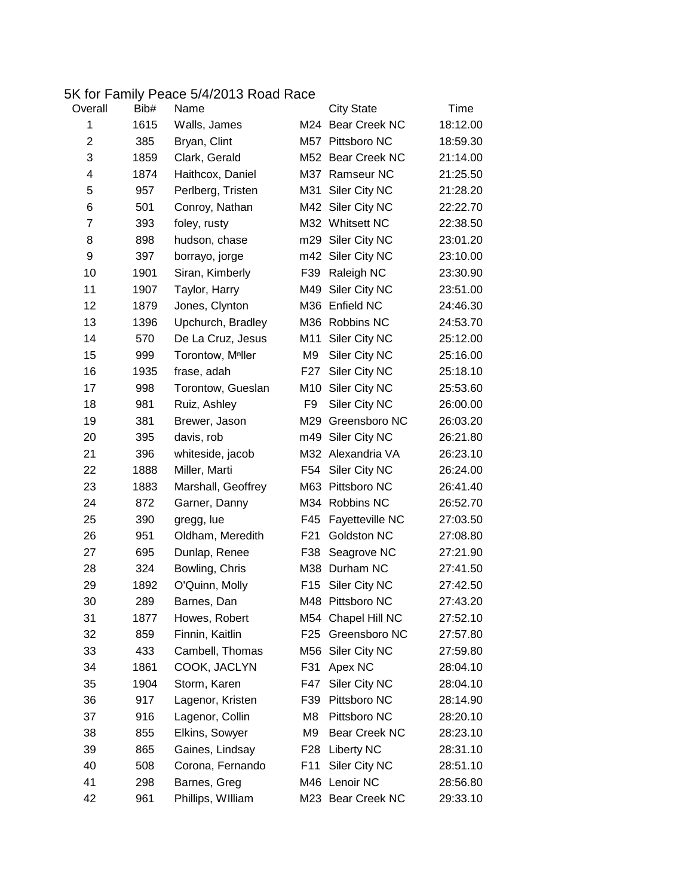## 5K for Family Peace 5/4/2013 Road Race

| Overall        | Bib# | Name                          |                  | <b>City State</b>  | Time     |
|----------------|------|-------------------------------|------------------|--------------------|----------|
| 1              | 1615 | Walls, James                  |                  | M24 Bear Creek NC  | 18:12.00 |
| $\overline{c}$ | 385  | Bryan, Clint                  |                  | M57 Pittsboro NC   | 18:59.30 |
| 3              | 1859 | Clark, Gerald                 |                  | M52 Bear Creek NC  | 21:14.00 |
| 4              | 1874 | Haithcox, Daniel              | M37              | <b>Ramseur NC</b>  | 21:25.50 |
| 5              | 957  | Perlberg, Tristen             | M31              | Siler City NC      | 21:28.20 |
| 6              | 501  | Conroy, Nathan                | M42              | Siler City NC      | 22:22.70 |
| 7              | 393  | foley, rusty                  |                  | M32 Whitsett NC    | 22:38.50 |
| 8              | 898  | hudson, chase                 | m29              | Siler City NC      | 23:01.20 |
| 9              | 397  | borrayo, jorge                |                  | m42 Siler City NC  | 23:10.00 |
| 10             | 1901 | Siran, Kimberly               | F39              | Raleigh NC         | 23:30.90 |
| 11             | 1907 | Taylor, Harry                 | M49              | Siler City NC      | 23:51.00 |
| 12             | 1879 | Jones, Clynton                |                  | M36 Enfield NC     | 24:46.30 |
| 13             | 1396 | Upchurch, Bradley             |                  | M36 Robbins NC     | 24:53.70 |
| 14             | 570  | De La Cruz, Jesus             | M11              | Siler City NC      | 25:12.00 |
| 15             | 999  | Torontow, M <sup>n</sup> ller | M9               | Siler City NC      | 25:16.00 |
| 16             | 1935 | frase, adah                   | F <sub>2</sub> 7 | Siler City NC      | 25:18.10 |
| 17             | 998  | Torontow, Gueslan             | M10              | Siler City NC      | 25:53.60 |
| 18             | 981  | Ruiz, Ashley                  | F <sub>9</sub>   | Siler City NC      | 26:00.00 |
| 19             | 381  | Brewer, Jason                 | M29              | Greensboro NC      | 26:03.20 |
| 20             | 395  | davis, rob                    | m49              | Siler City NC      | 26:21.80 |
| 21             | 396  | whiteside, jacob              |                  | M32 Alexandria VA  | 26:23.10 |
| 22             | 1888 | Miller, Marti                 | F54              | Siler City NC      | 26:24.00 |
| 23             | 1883 | Marshall, Geoffrey            | M63              | Pittsboro NC       | 26:41.40 |
| 24             | 872  | Garner, Danny                 |                  | M34 Robbins NC     | 26:52.70 |
| 25             | 390  | gregg, lue                    | F45              | Fayetteville NC    | 27:03.50 |
| 26             | 951  | Oldham, Meredith              | F <sub>21</sub>  | Goldston NC        | 27:08.80 |
| 27             | 695  | Dunlap, Renee                 | F38              | Seagrove NC        | 27:21.90 |
| 28             | 324  | Bowling, Chris                | M38              | Durham NC          | 27:41.50 |
| 29             | 1892 | O'Quinn, Molly                | F <sub>15</sub>  | Siler City NC      | 27:42.50 |
| 30             | 289  | Barnes, Dan                   |                  | M48 Pittsboro NC   | 27:43.20 |
| 31             | 1877 | Howes, Robert                 |                  | M54 Chapel Hill NC | 27:52.10 |
| 32             | 859  | Finnin, Kaitlin               | F <sub>25</sub>  | Greensboro NC      | 27:57.80 |
| 33             | 433  | Cambell, Thomas               | M56              | Siler City NC      | 27:59.80 |
| 34             | 1861 | COOK, JACLYN                  | F31              | Apex NC            | 28:04.10 |
| 35             | 1904 | Storm, Karen                  | F47              | Siler City NC      | 28:04.10 |
| 36             | 917  | Lagenor, Kristen              | F39              | Pittsboro NC       | 28:14.90 |
| 37             | 916  | Lagenor, Collin               | M8               | Pittsboro NC       | 28:20.10 |
| 38             | 855  | Elkins, Sowyer                | M9               | Bear Creek NC      | 28:23.10 |
| 39             | 865  | Gaines, Lindsay               | F <sub>28</sub>  | <b>Liberty NC</b>  | 28:31.10 |
| 40             | 508  | Corona, Fernando              | F11              | Siler City NC      | 28:51.10 |
| 41             | 298  | Barnes, Greg                  |                  | M46 Lenoir NC      | 28:56.80 |
| 42             | 961  | Phillips, William             |                  | M23 Bear Creek NC  | 29:33.10 |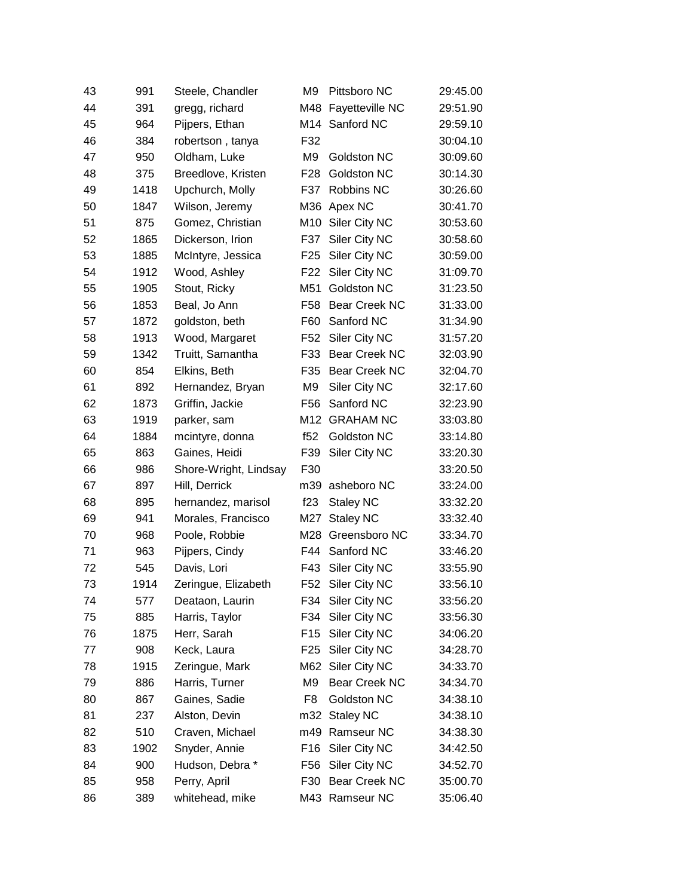| 43 | 991  | Steele, Chandler      | M9              | Pittsboro NC         | 29:45.00 |
|----|------|-----------------------|-----------------|----------------------|----------|
| 44 | 391  | gregg, richard        | M48             | Fayetteville NC      | 29:51.90 |
| 45 | 964  | Pijpers, Ethan        |                 | M14 Sanford NC       | 29:59.10 |
| 46 | 384  | robertson, tanya      | F32             |                      | 30:04.10 |
| 47 | 950  | Oldham, Luke          | M <sub>9</sub>  | Goldston NC          | 30:09.60 |
| 48 | 375  | Breedlove, Kristen    | F28             | Goldston NC          | 30:14.30 |
| 49 | 1418 | Upchurch, Molly       | F37             | Robbins NC           | 30:26.60 |
| 50 | 1847 | Wilson, Jeremy        | M36             | Apex NC              | 30:41.70 |
| 51 | 875  | Gomez, Christian      | M10             | Siler City NC        | 30:53.60 |
| 52 | 1865 | Dickerson, Irion      | F37             | Siler City NC        | 30:58.60 |
| 53 | 1885 | McIntyre, Jessica     | F <sub>25</sub> | Siler City NC        | 30:59.00 |
| 54 | 1912 | Wood, Ashley          | F <sub>22</sub> | Siler City NC        | 31:09.70 |
| 55 | 1905 | Stout, Ricky          | M51             | Goldston NC          | 31:23.50 |
| 56 | 1853 | Beal, Jo Ann          | F <sub>58</sub> | Bear Creek NC        | 31:33.00 |
| 57 | 1872 | goldston, beth        | F60             | Sanford NC           | 31:34.90 |
| 58 | 1913 | Wood, Margaret        | F52             | Siler City NC        | 31:57.20 |
| 59 | 1342 | Truitt, Samantha      |                 | F33 Bear Creek NC    | 32:03.90 |
| 60 | 854  | Elkins, Beth          | F35             | <b>Bear Creek NC</b> | 32:04.70 |
| 61 | 892  | Hernandez, Bryan      | M <sub>9</sub>  | Siler City NC        | 32:17.60 |
| 62 | 1873 | Griffin, Jackie       | F56             | Sanford NC           | 32:23.90 |
| 63 | 1919 | parker, sam           | M12             | <b>GRAHAM NC</b>     | 33:03.80 |
| 64 | 1884 | mcintyre, donna       | f52             | Goldston NC          | 33:14.80 |
| 65 | 863  | Gaines, Heidi         | F39             | Siler City NC        | 33:20.30 |
| 66 | 986  | Shore-Wright, Lindsay | F30             |                      | 33:20.50 |
| 67 | 897  | Hill, Derrick         | m39             | asheboro NC          | 33:24.00 |
| 68 | 895  | hernandez, marisol    | f23             | <b>Staley NC</b>     | 33:32.20 |
| 69 | 941  | Morales, Francisco    | M27             | <b>Staley NC</b>     | 33:32.40 |
| 70 | 968  | Poole, Robbie         | M28             | Greensboro NC        | 33:34.70 |
| 71 | 963  | Pijpers, Cindy        | F44             | Sanford NC           | 33:46.20 |
| 72 | 545  | Davis, Lori           | F43             | Siler City NC        | 33:55.90 |
| 73 | 1914 | Zeringue, Elizabeth   | F52             | Siler City NC        | 33:56.10 |
| 74 | 577  | Deataon, Laurin       | F34             | Siler City NC        | 33:56.20 |
| 75 | 885  | Harris, Taylor        | F34             | Siler City NC        | 33:56.30 |
| 76 | 1875 | Herr, Sarah           | F <sub>15</sub> | Siler City NC        | 34:06.20 |
| 77 | 908  | Keck, Laura           | F <sub>25</sub> | Siler City NC        | 34:28.70 |
| 78 | 1915 | Zeringue, Mark        | M62             | Siler City NC        | 34:33.70 |
| 79 | 886  | Harris, Turner        | M <sub>9</sub>  | Bear Creek NC        | 34:34.70 |
| 80 | 867  | Gaines, Sadie         | F <sub>8</sub>  | Goldston NC          | 34:38.10 |
| 81 | 237  | Alston, Devin         | m32             | <b>Staley NC</b>     | 34:38.10 |
| 82 | 510  | Craven, Michael       | m49             | Ramseur NC           | 34:38.30 |
| 83 | 1902 | Snyder, Annie         | F <sub>16</sub> | Siler City NC        | 34:42.50 |
| 84 | 900  | Hudson, Debra*        | F56             | Siler City NC        | 34:52.70 |
| 85 | 958  | Perry, April          | F30             | Bear Creek NC        | 35:00.70 |
| 86 | 389  | whitehead, mike       |                 | M43 Ramseur NC       | 35:06.40 |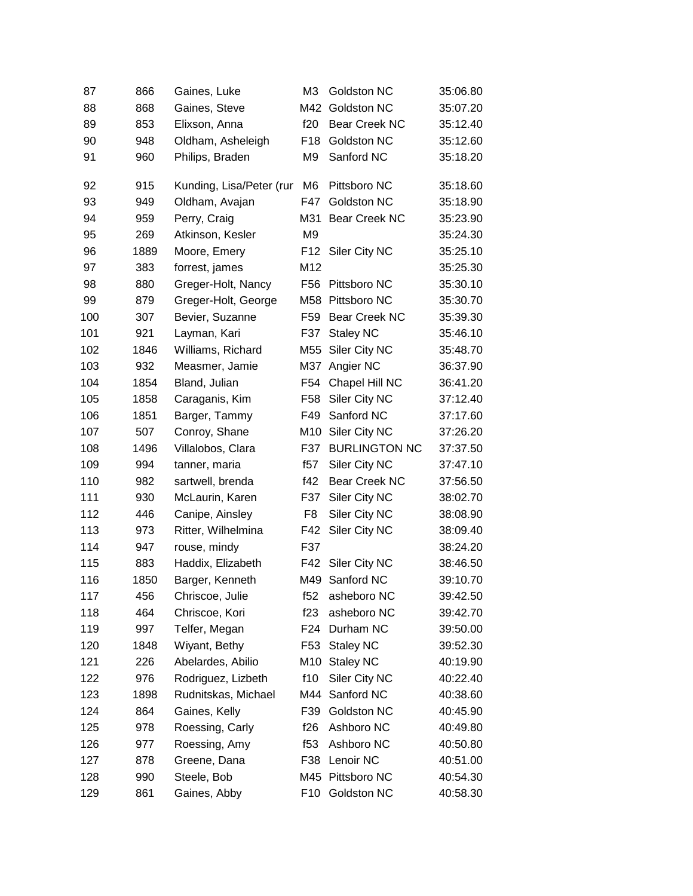| 87  | 866  | Gaines, Luke             | M <sub>3</sub>  | Goldston NC          | 35:06.80 |
|-----|------|--------------------------|-----------------|----------------------|----------|
| 88  | 868  | Gaines, Steve            | M42             | Goldston NC          | 35:07.20 |
| 89  | 853  | Elixson, Anna            | f20             | Bear Creek NC        | 35:12.40 |
| 90  | 948  | Oldham, Asheleigh        | F <sub>18</sub> | Goldston NC          | 35:12.60 |
| 91  | 960  | Philips, Braden          | M9              | Sanford NC           | 35:18.20 |
| 92  | 915  | Kunding, Lisa/Peter (rur | M <sub>6</sub>  | Pittsboro NC         | 35:18.60 |
| 93  | 949  | Oldham, Avajan           | F47             | Goldston NC          | 35:18.90 |
| 94  | 959  | Perry, Craig             | M31             | Bear Creek NC        | 35:23.90 |
| 95  | 269  | Atkinson, Kesler         | M <sub>9</sub>  |                      | 35:24.30 |
| 96  | 1889 | Moore, Emery             | F12             | Siler City NC        | 35:25.10 |
| 97  | 383  | forrest, james           | M12             |                      | 35:25.30 |
| 98  | 880  | Greger-Holt, Nancy       | F <sub>56</sub> | Pittsboro NC         | 35:30.10 |
| 99  | 879  | Greger-Holt, George      | M58             | Pittsboro NC         | 35:30.70 |
| 100 | 307  | Bevier, Suzanne          | F <sub>59</sub> | <b>Bear Creek NC</b> | 35:39.30 |
| 101 | 921  | Layman, Kari             | F37             | <b>Staley NC</b>     | 35:46.10 |
| 102 | 1846 | Williams, Richard        | M55             | Siler City NC        | 35:48.70 |
| 103 | 932  | Measmer, Jamie           | M37             | Angier NC            | 36:37.90 |
| 104 | 1854 | Bland, Julian            | F <sub>54</sub> | Chapel Hill NC       | 36:41.20 |
| 105 | 1858 | Caraganis, Kim           | F <sub>58</sub> | Siler City NC        | 37:12.40 |
| 106 | 1851 | Barger, Tammy            | F49             | Sanford NC           | 37:17.60 |
| 107 | 507  | Conroy, Shane            | M10             | Siler City NC        | 37:26.20 |
| 108 | 1496 | Villalobos, Clara        | F37             | <b>BURLINGTON NC</b> | 37:37.50 |
| 109 | 994  | tanner, maria            | f57             | Siler City NC        | 37:47.10 |
| 110 | 982  | sartwell, brenda         | f42             | <b>Bear Creek NC</b> | 37:56.50 |
| 111 | 930  | McLaurin, Karen          | F37             | Siler City NC        | 38:02.70 |
| 112 | 446  | Canipe, Ainsley          | F <sub>8</sub>  | Siler City NC        | 38:08.90 |
| 113 | 973  | Ritter, Wilhelmina       | F42             | Siler City NC        | 38:09.40 |
| 114 | 947  | rouse, mindy             | F37             |                      | 38:24.20 |
| 115 | 883  | Haddix, Elizabeth        | F42             | Siler City NC        | 38:46.50 |
| 116 | 1850 | Barger, Kenneth          |                 | M49 Sanford NC       | 39:10.70 |
| 117 | 456  | Chriscoe, Julie          | f52             | asheboro NC          | 39:42.50 |
| 118 | 464  | Chriscoe, Kori           | f23             | asheboro NC          | 39:42.70 |
| 119 | 997  | Telfer, Megan            | F <sub>24</sub> | Durham NC            | 39:50.00 |
| 120 | 1848 | Wiyant, Bethy            | F <sub>53</sub> | <b>Staley NC</b>     | 39:52.30 |
| 121 | 226  | Abelardes, Abilio        | M10             | <b>Staley NC</b>     | 40:19.90 |
| 122 | 976  | Rodriguez, Lizbeth       | f10             | Siler City NC        | 40:22.40 |
| 123 | 1898 | Rudnitskas, Michael      | M44             | Sanford NC           | 40:38.60 |
| 124 | 864  | Gaines, Kelly            | F39             | Goldston NC          | 40:45.90 |
| 125 | 978  | Roessing, Carly          | f26             | Ashboro NC           | 40:49.80 |
| 126 | 977  | Roessing, Amy            | f53             | Ashboro NC           | 40:50.80 |
| 127 | 878  | Greene, Dana             | F38             | Lenoir NC            | 40:51.00 |
| 128 | 990  | Steele, Bob              | M45             | Pittsboro NC         | 40:54.30 |
| 129 | 861  | Gaines, Abby             | F <sub>10</sub> | Goldston NC          | 40:58.30 |
|     |      |                          |                 |                      |          |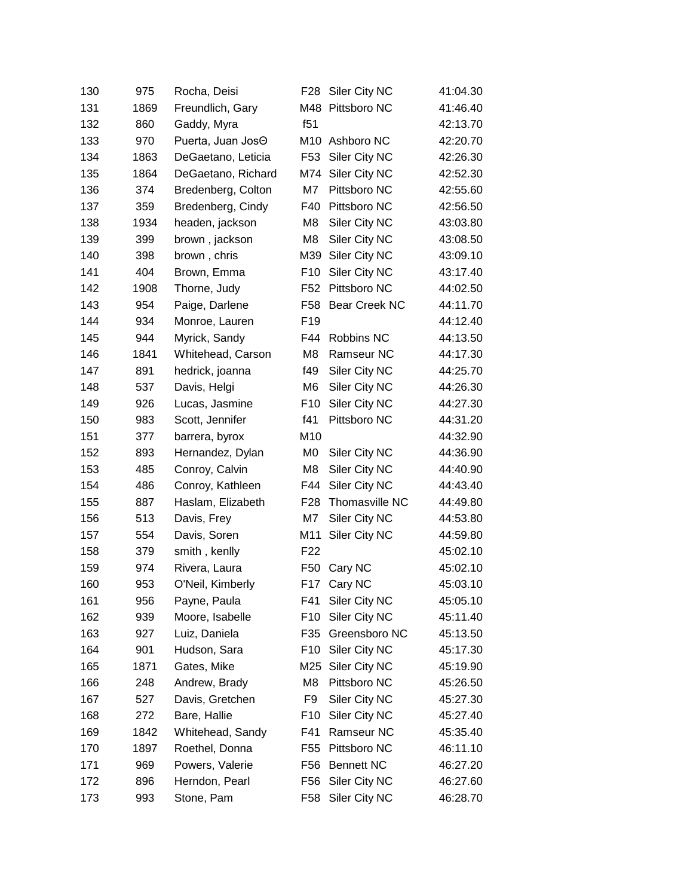| 130 | 975  | Rocha, Deisi       | F28             | Siler City NC         | 41:04.30 |
|-----|------|--------------------|-----------------|-----------------------|----------|
| 131 | 1869 | Freundlich, Gary   | M48             | Pittsboro NC          | 41:46.40 |
| 132 | 860  | Gaddy, Myra        | f51             |                       | 42:13.70 |
| 133 | 970  | Puerta, Juan JosO  | M10             | Ashboro NC            | 42:20.70 |
| 134 | 1863 | DeGaetano, Leticia | F <sub>53</sub> | Siler City NC         | 42:26.30 |
| 135 | 1864 | DeGaetano, Richard | M74             | Siler City NC         | 42:52.30 |
| 136 | 374  | Bredenberg, Colton | M7              | Pittsboro NC          | 42:55.60 |
| 137 | 359  | Bredenberg, Cindy  | F40             | Pittsboro NC          | 42:56.50 |
| 138 | 1934 | headen, jackson    | M8              | Siler City NC         | 43:03.80 |
| 139 | 399  | brown, jackson     | M8              | Siler City NC         | 43:08.50 |
| 140 | 398  | brown, chris       | M39             | Siler City NC         | 43:09.10 |
| 141 | 404  | Brown, Emma        | F <sub>10</sub> | Siler City NC         | 43:17.40 |
| 142 | 1908 | Thorne, Judy       | F <sub>52</sub> | Pittsboro NC          | 44:02.50 |
| 143 | 954  | Paige, Darlene     | F58             | Bear Creek NC         | 44:11.70 |
| 144 | 934  | Monroe, Lauren     | F19             |                       | 44:12.40 |
| 145 | 944  | Myrick, Sandy      | F44             | Robbins NC            | 44:13.50 |
| 146 | 1841 | Whitehead, Carson  | M8              | Ramseur NC            | 44:17.30 |
| 147 | 891  | hedrick, joanna    | f49             | Siler City NC         | 44:25.70 |
| 148 | 537  | Davis, Helgi       | M <sub>6</sub>  | Siler City NC         | 44:26.30 |
| 149 | 926  | Lucas, Jasmine     | F <sub>10</sub> | Siler City NC         | 44:27.30 |
| 150 | 983  | Scott, Jennifer    | f41             | Pittsboro NC          | 44:31.20 |
| 151 | 377  | barrera, byrox     | M10             |                       | 44:32.90 |
| 152 | 893  | Hernandez, Dylan   | M0              | Siler City NC         | 44:36.90 |
| 153 | 485  | Conroy, Calvin     | M8              | Siler City NC         | 44:40.90 |
| 154 | 486  | Conroy, Kathleen   | F44             | Siler City NC         | 44:43.40 |
| 155 | 887  | Haslam, Elizabeth  | F <sub>28</sub> | <b>Thomasville NC</b> | 44:49.80 |
| 156 | 513  | Davis, Frey        | M7              | Siler City NC         | 44:53.80 |
| 157 | 554  | Davis, Soren       | M11             | Siler City NC         | 44:59.80 |
| 158 | 379  | smith, kenlly      | F <sub>22</sub> |                       | 45:02.10 |
| 159 | 974  | Rivera, Laura      | F <sub>50</sub> | Cary NC               | 45:02.10 |
| 160 | 953  | O'Neil, Kimberly   | F17             | Cary NC               | 45:03.10 |
| 161 | 956  | Payne, Paula       | F41             | Siler City NC         | 45:05.10 |
| 162 | 939  | Moore, Isabelle    | F <sub>10</sub> | Siler City NC         | 45:11.40 |
| 163 | 927  | Luiz, Daniela      | F35             | Greensboro NC         | 45:13.50 |
| 164 | 901  | Hudson, Sara       | F <sub>10</sub> | Siler City NC         | 45:17.30 |
| 165 | 1871 | Gates, Mike        | M25             | Siler City NC         | 45:19.90 |
| 166 | 248  | Andrew, Brady      | M8              | Pittsboro NC          | 45:26.50 |
| 167 | 527  | Davis, Gretchen    | F9              | Siler City NC         | 45:27.30 |
| 168 | 272  | Bare, Hallie       | F <sub>10</sub> | Siler City NC         | 45:27.40 |
| 169 | 1842 | Whitehead, Sandy   | F41             | Ramseur NC            | 45:35.40 |
| 170 | 1897 | Roethel, Donna     | F <sub>55</sub> | Pittsboro NC          | 46:11.10 |
| 171 | 969  | Powers, Valerie    | F56             | <b>Bennett NC</b>     | 46:27.20 |
| 172 | 896  | Herndon, Pearl     | F56             | Siler City NC         | 46:27.60 |
| 173 | 993  | Stone, Pam         | F58             | Siler City NC         | 46:28.70 |
|     |      |                    |                 |                       |          |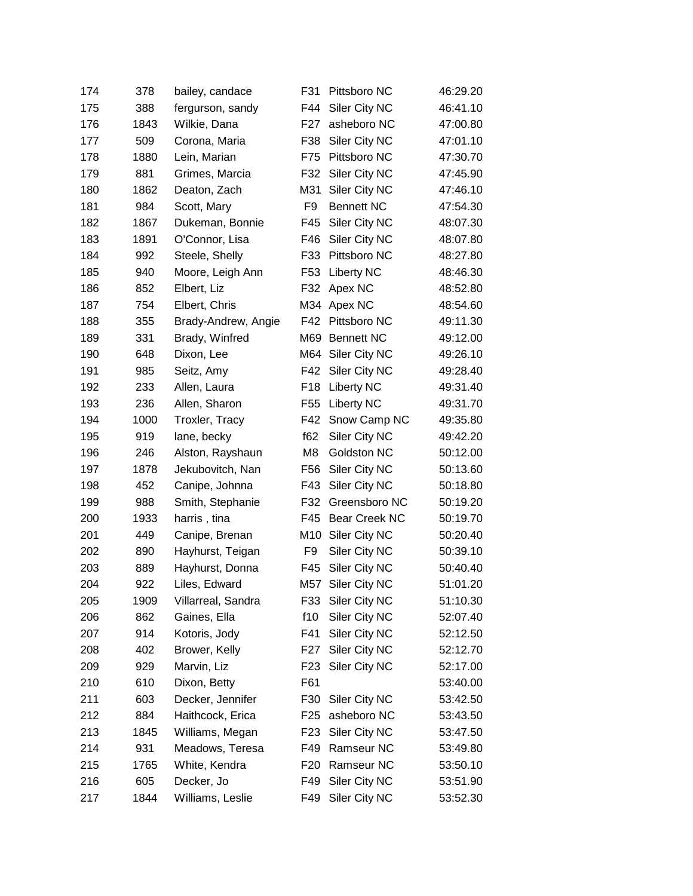| 174 | 378  | bailey, candace     | F31             | Pittsboro NC      | 46:29.20 |
|-----|------|---------------------|-----------------|-------------------|----------|
| 175 | 388  | fergurson, sandy    | F44             | Siler City NC     | 46:41.10 |
| 176 | 1843 | Wilkie, Dana        | F <sub>27</sub> | asheboro NC       | 47:00.80 |
| 177 | 509  | Corona, Maria       | F38             | Siler City NC     | 47:01.10 |
| 178 | 1880 | Lein, Marian        | F75             | Pittsboro NC      | 47:30.70 |
| 179 | 881  | Grimes, Marcia      | F32             | Siler City NC     | 47:45.90 |
| 180 | 1862 | Deaton, Zach        | M31             | Siler City NC     | 47:46.10 |
| 181 | 984  | Scott, Mary         | F9              | <b>Bennett NC</b> | 47:54.30 |
| 182 | 1867 | Dukeman, Bonnie     | F45             | Siler City NC     | 48:07.30 |
| 183 | 1891 | O'Connor, Lisa      | F46             | Siler City NC     | 48:07.80 |
| 184 | 992  | Steele, Shelly      | F33             | Pittsboro NC      | 48:27.80 |
| 185 | 940  | Moore, Leigh Ann    | F53             | <b>Liberty NC</b> | 48:46.30 |
| 186 | 852  | Elbert, Liz         | F32             | Apex NC           | 48:52.80 |
| 187 | 754  | Elbert, Chris       |                 | M34 Apex NC       | 48:54.60 |
| 188 | 355  | Brady-Andrew, Angie | F42             | Pittsboro NC      | 49:11.30 |
| 189 | 331  | Brady, Winfred      | M69             | <b>Bennett NC</b> | 49:12.00 |
| 190 | 648  | Dixon, Lee          |                 | M64 Siler City NC | 49:26.10 |
| 191 | 985  | Seitz, Amy          | F42             | Siler City NC     | 49:28.40 |
| 192 | 233  | Allen, Laura        | F <sub>18</sub> | Liberty NC        | 49:31.40 |
| 193 | 236  | Allen, Sharon       | F <sub>55</sub> | <b>Liberty NC</b> | 49:31.70 |
| 194 | 1000 | Troxler, Tracy      | F42             | Snow Camp NC      | 49:35.80 |
| 195 | 919  | lane, becky         | f62             | Siler City NC     | 49:42.20 |
| 196 | 246  | Alston, Rayshaun    | M <sub>8</sub>  | Goldston NC       | 50:12.00 |
| 197 | 1878 | Jekubovitch, Nan    | F56             | Siler City NC     | 50:13.60 |
| 198 | 452  | Canipe, Johnna      | F43             | Siler City NC     | 50:18.80 |
| 199 | 988  | Smith, Stephanie    | F32             | Greensboro NC     | 50:19.20 |
| 200 | 1933 | harris, tina        | F45             | Bear Creek NC     | 50:19.70 |
| 201 | 449  | Canipe, Brenan      | M10             | Siler City NC     | 50:20.40 |
| 202 | 890  | Hayhurst, Teigan    | F9              | Siler City NC     | 50:39.10 |
| 203 | 889  | Hayhurst, Donna     | F45             | Siler City NC     | 50:40.40 |
| 204 | 922  | Liles, Edward       | M57             | Siler City NC     | 51:01.20 |
| 205 | 1909 | Villarreal, Sandra  | F33             | Siler City NC     | 51:10.30 |
| 206 | 862  | Gaines, Ella        | f10             | Siler City NC     | 52:07.40 |
| 207 | 914  | Kotoris, Jody       | F41             | Siler City NC     | 52:12.50 |
| 208 | 402  | Brower, Kelly       | F27             | Siler City NC     | 52:12.70 |
| 209 | 929  | Marvin, Liz         | F <sub>23</sub> | Siler City NC     | 52:17.00 |
| 210 | 610  | Dixon, Betty        | F61             |                   | 53:40.00 |
| 211 | 603  | Decker, Jennifer    | F30             | Siler City NC     | 53:42.50 |
| 212 | 884  | Haithcock, Erica    | F <sub>25</sub> | asheboro NC       | 53:43.50 |
| 213 | 1845 | Williams, Megan     | F <sub>23</sub> | Siler City NC     | 53:47.50 |
| 214 | 931  | Meadows, Teresa     | F49             | Ramseur NC        | 53:49.80 |
| 215 | 1765 | White, Kendra       | F <sub>20</sub> | Ramseur NC        | 53:50.10 |
| 216 | 605  | Decker, Jo          | F49             | Siler City NC     | 53:51.90 |
| 217 | 1844 | Williams, Leslie    | F49             | Siler City NC     | 53:52.30 |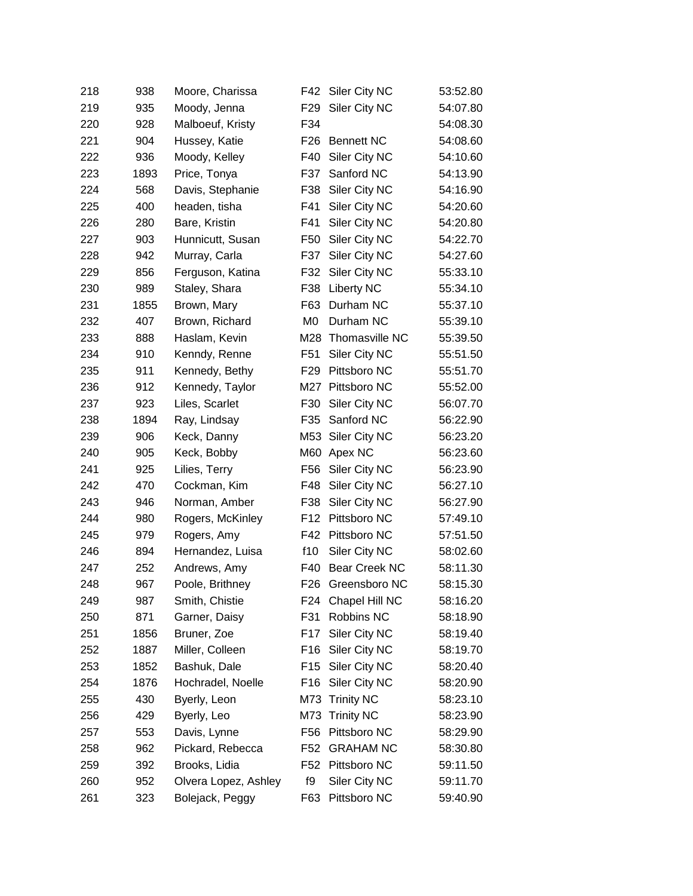| 218 | 938  | Moore, Charissa      | F42             | Siler City NC        | 53:52.80 |
|-----|------|----------------------|-----------------|----------------------|----------|
| 219 | 935  | Moody, Jenna         | F <sub>29</sub> | Siler City NC        | 54:07.80 |
| 220 | 928  | Malboeuf, Kristy     | F34             |                      | 54:08.30 |
| 221 | 904  | Hussey, Katie        | F <sub>26</sub> | <b>Bennett NC</b>    | 54:08.60 |
| 222 | 936  | Moody, Kelley        | F40             | Siler City NC        | 54:10.60 |
| 223 | 1893 | Price, Tonya         | F37             | Sanford NC           | 54:13.90 |
| 224 | 568  | Davis, Stephanie     | F38             | Siler City NC        | 54:16.90 |
| 225 | 400  | headen, tisha        | F41             | Siler City NC        | 54:20.60 |
| 226 | 280  | Bare, Kristin        | F41             | Siler City NC        | 54:20.80 |
| 227 | 903  | Hunnicutt, Susan     | F50             | Siler City NC        | 54:22.70 |
| 228 | 942  | Murray, Carla        | F37             | Siler City NC        | 54:27.60 |
| 229 | 856  | Ferguson, Katina     | F32             | Siler City NC        | 55:33.10 |
| 230 | 989  | Staley, Shara        | F38             | <b>Liberty NC</b>    | 55:34.10 |
| 231 | 1855 | Brown, Mary          | F63             | Durham NC            | 55:37.10 |
| 232 | 407  | Brown, Richard       | M0              | Durham NC            | 55:39.10 |
| 233 | 888  | Haslam, Kevin        | M28             | Thomasville NC       | 55:39.50 |
| 234 | 910  | Kenndy, Renne        | F51             | Siler City NC        | 55:51.50 |
| 235 | 911  | Kennedy, Bethy       | F <sub>29</sub> | Pittsboro NC         | 55:51.70 |
| 236 | 912  | Kennedy, Taylor      | M27             | Pittsboro NC         | 55:52.00 |
| 237 | 923  | Liles, Scarlet       | F30             | Siler City NC        | 56:07.70 |
| 238 | 1894 | Ray, Lindsay         | F35             | Sanford NC           | 56:22.90 |
| 239 | 906  | Keck, Danny          | M53             | Siler City NC        | 56:23.20 |
| 240 | 905  | Keck, Bobby          | M60             | Apex NC              | 56:23.60 |
| 241 | 925  | Lilies, Terry        | F56             | Siler City NC        | 56:23.90 |
| 242 | 470  | Cockman, Kim         | F48             | Siler City NC        | 56:27.10 |
| 243 | 946  | Norman, Amber        | F38             | Siler City NC        | 56:27.90 |
| 244 | 980  | Rogers, McKinley     | F12             | Pittsboro NC         | 57:49.10 |
| 245 | 979  | Rogers, Amy          | F42             | Pittsboro NC         | 57:51.50 |
| 246 | 894  | Hernandez, Luisa     | f10             | Siler City NC        | 58:02.60 |
| 247 | 252  | Andrews, Amy         | F40             | <b>Bear Creek NC</b> | 58:11.30 |
| 248 | 967  | Poole, Brithney      | F <sub>26</sub> | Greensboro NC        | 58:15.30 |
| 249 | 987  | Smith, Chistie       | F24             | Chapel Hill NC       | 58:16.20 |
| 250 | 871  | Garner, Daisy        | F31             | Robbins NC           | 58:18.90 |
| 251 | 1856 | Bruner, Zoe          | F17             | Siler City NC        | 58:19.40 |
| 252 | 1887 | Miller, Colleen      | F <sub>16</sub> | Siler City NC        | 58:19.70 |
| 253 | 1852 | Bashuk, Dale         | F15             | Siler City NC        | 58:20.40 |
| 254 | 1876 | Hochradel, Noelle    | F16             | Siler City NC        | 58:20.90 |
| 255 | 430  | Byerly, Leon         | M73             | <b>Trinity NC</b>    | 58:23.10 |
| 256 | 429  | Byerly, Leo          | M73             | <b>Trinity NC</b>    | 58:23.90 |
| 257 | 553  | Davis, Lynne         | F <sub>56</sub> | Pittsboro NC         | 58:29.90 |
| 258 | 962  | Pickard, Rebecca     | F52             | <b>GRAHAM NC</b>     | 58:30.80 |
| 259 | 392  | Brooks, Lidia        | F <sub>52</sub> | Pittsboro NC         | 59:11.50 |
| 260 | 952  | Olvera Lopez, Ashley | f9              | Siler City NC        | 59:11.70 |
| 261 | 323  | Bolejack, Peggy      | F63             | Pittsboro NC         | 59:40.90 |